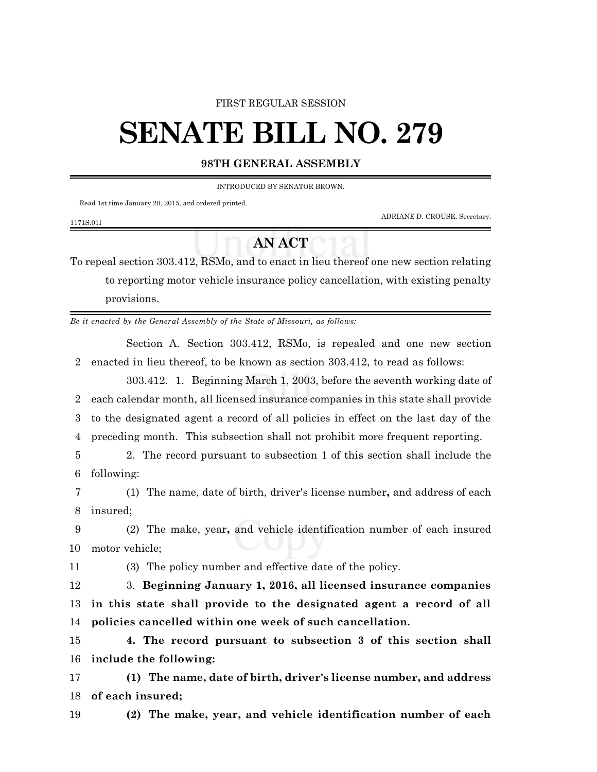### FIRST REGULAR SESSION

# **SENATE BILL NO. 279**

# **98TH GENERAL ASSEMBLY**

INTRODUCED BY SENATOR BROWN.

Read 1st time January 20, 2015, and ordered printed.

ADRIANE D. CROUSE, Secretary.

#### 1171S.01I

# **AN ACT**

To repeal section 303.412, RSMo, and to enact in lieu thereof one new section relating to reporting motor vehicle insurance policy cancellation, with existing penalty provisions.

*Be it enacted by the General Assembly of the State of Missouri, as follows:*

Section A. Section 303.412, RSMo, is repealed and one new section 2 enacted in lieu thereof, to be known as section 303.412, to read as follows:

303.412. 1. Beginning March 1, 2003, before the seventh working date of each calendar month, all licensed insurance companies in this state shall provide to the designated agent a record of all policies in effect on the last day of the preceding month. This subsection shall not prohibit more frequent reporting.

5 2. The record pursuant to subsection 1 of this section shall include the 6 following:

7 (1) The name, date of birth, driver's license number**,** and address of each 8 insured;

9 (2) The make, year**,** and vehicle identification number of each insured 10 motor vehicle;

11 (3) The policy number and effective date of the policy.

12 3. **Beginning January 1, 2016, all licensed insurance companies** 13 **in this state shall provide to the designated agent a record of all** 14 **policies cancelled within one week of such cancellation.**

15 **4. The record pursuant to subsection 3 of this section shall** 16 **include the following:**

17 **(1) The name, date of birth, driver's license number, and address** 18 **of each insured;**

19 **(2) The make, year, and vehicle identification number of each**